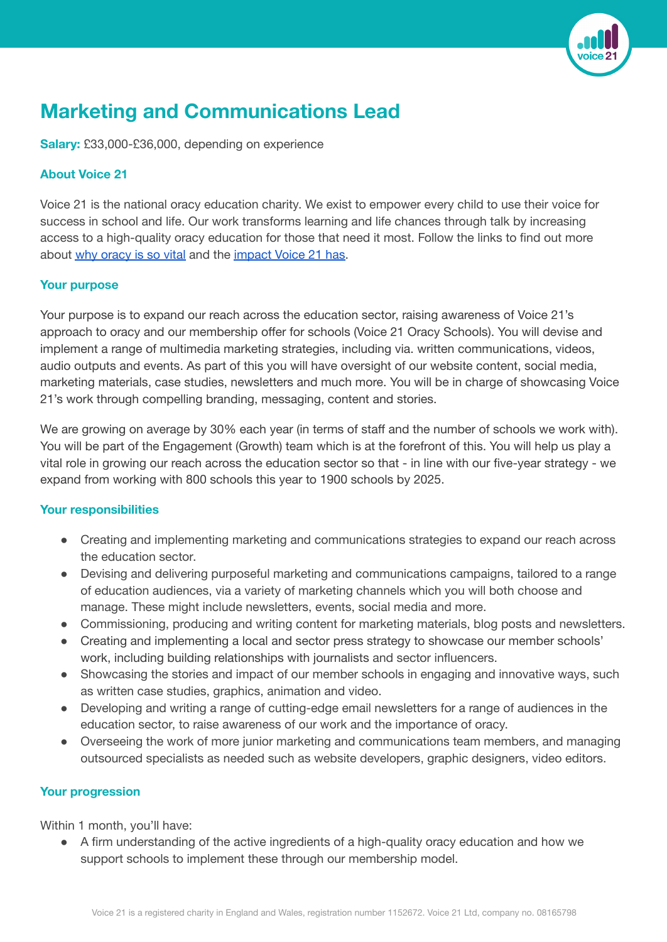

# **Marketing and Communications Lead**

**Salary:** £33,000-£36,000, depending on experience

## **About Voice 21**

Voice 21 is the national oracy education charity. We exist to empower every child to use their voice for success in school and life. Our work transforms learning and life chances through talk by increasing access to a high-quality oracy education for those that need it most. Follow the links to find out more about why [oracy](https://vimeo.com/690486594/1778126bac) is so vital and the [impact](https://voice21.org/wp-content/uploads/2022/03/Voice21-Impact-Report-2022-v22-print.pdf) Voice 21 has.

#### **Your purpose**

Your purpose is to expand our reach across the education sector, raising awareness of Voice 21's approach to oracy and our membership offer for schools (Voice 21 Oracy Schools). You will devise and implement a range of multimedia marketing strategies, including via. written communications, videos, audio outputs and events. As part of this you will have oversight of our website content, social media, marketing materials, case studies, newsletters and much more. You will be in charge of showcasing Voice 21's work through compelling branding, messaging, content and stories.

We are growing on average by 30% each year (in terms of staff and the number of schools we work with). You will be part of the Engagement (Growth) team which is at the forefront of this. You will help us play a vital role in growing our reach across the education sector so that - in line with our five-year strategy - we expand from working with 800 schools this year to 1900 schools by 2025.

#### **Your responsibilities**

- Creating and implementing marketing and communications strategies to expand our reach across the education sector.
- Devising and delivering purposeful marketing and communications campaigns, tailored to a range of education audiences, via a variety of marketing channels which you will both choose and manage. These might include newsletters, events, social media and more.
- Commissioning, producing and writing content for marketing materials, blog posts and newsletters.
- Creating and implementing a local and sector press strategy to showcase our member schools' work, including building relationships with journalists and sector influencers.
- Showcasing the stories and impact of our member schools in engaging and innovative ways, such as written case studies, graphics, animation and video.
- Developing and writing a range of cutting-edge email newsletters for a range of audiences in the education sector, to raise awareness of our work and the importance of oracy.
- Overseeing the work of more junior marketing and communications team members, and managing outsourced specialists as needed such as website developers, graphic designers, video editors.

## **Your progression**

Within 1 month, you'll have:

● A firm understanding of the active ingredients of a high-quality oracy education and how we support schools to implement these through our membership model.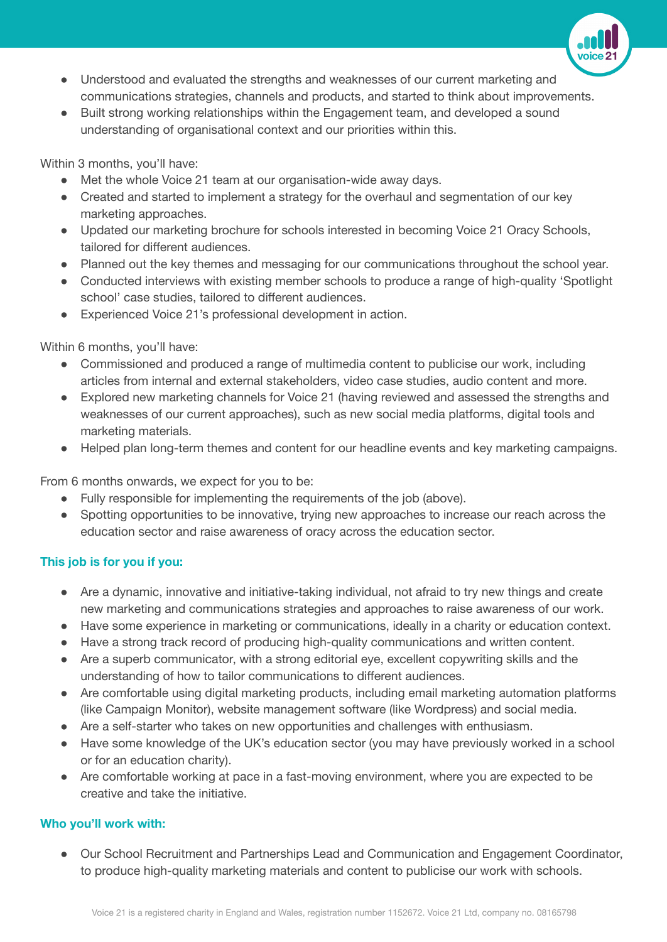

- Understood and evaluated the strengths and weaknesses of our current marketing and communications strategies, channels and products, and started to think about improvements.
- Built strong working relationships within the Engagement team, and developed a sound understanding of organisational context and our priorities within this.

Within 3 months, you'll have:

- Met the whole Voice 21 team at our organisation-wide away days.
- Created and started to implement a strategy for the overhaul and segmentation of our key marketing approaches.
- Updated our marketing brochure for schools interested in becoming Voice 21 Oracy Schools, tailored for different audiences.
- Planned out the key themes and messaging for our communications throughout the school year.
- Conducted interviews with existing member schools to produce a range of high-quality 'Spotlight school' case studies, tailored to different audiences.
- Experienced Voice 21's professional development in action.

Within 6 months, you'll have:

- Commissioned and produced a range of multimedia content to publicise our work, including articles from internal and external stakeholders, video case studies, audio content and more.
- Explored new marketing channels for Voice 21 (having reviewed and assessed the strengths and weaknesses of our current approaches), such as new social media platforms, digital tools and marketing materials.
- Helped plan long-term themes and content for our headline events and key marketing campaigns.

From 6 months onwards, we expect for you to be:

- Fully responsible for implementing the requirements of the job (above).
- Spotting opportunities to be innovative, trying new approaches to increase our reach across the education sector and raise awareness of oracy across the education sector.

## **This job is for you if you:**

- Are a dynamic, innovative and initiative-taking individual, not afraid to try new things and create new marketing and communications strategies and approaches to raise awareness of our work.
- Have some experience in marketing or communications, ideally in a charity or education context.
- Have a strong track record of producing high-quality communications and written content.
- Are a superb communicator, with a strong editorial eye, excellent copywriting skills and the understanding of how to tailor communications to different audiences.
- Are comfortable using digital marketing products, including email marketing automation platforms (like Campaign Monitor), website management software (like Wordpress) and social media.
- Are a self-starter who takes on new opportunities and challenges with enthusiasm.
- Have some knowledge of the UK's education sector (you may have previously worked in a school or for an education charity).
- Are comfortable working at pace in a fast-moving environment, where you are expected to be creative and take the initiative.

## **Who you'll work with:**

● Our School Recruitment and Partnerships Lead and Communication and Engagement Coordinator, to produce high-quality marketing materials and content to publicise our work with schools.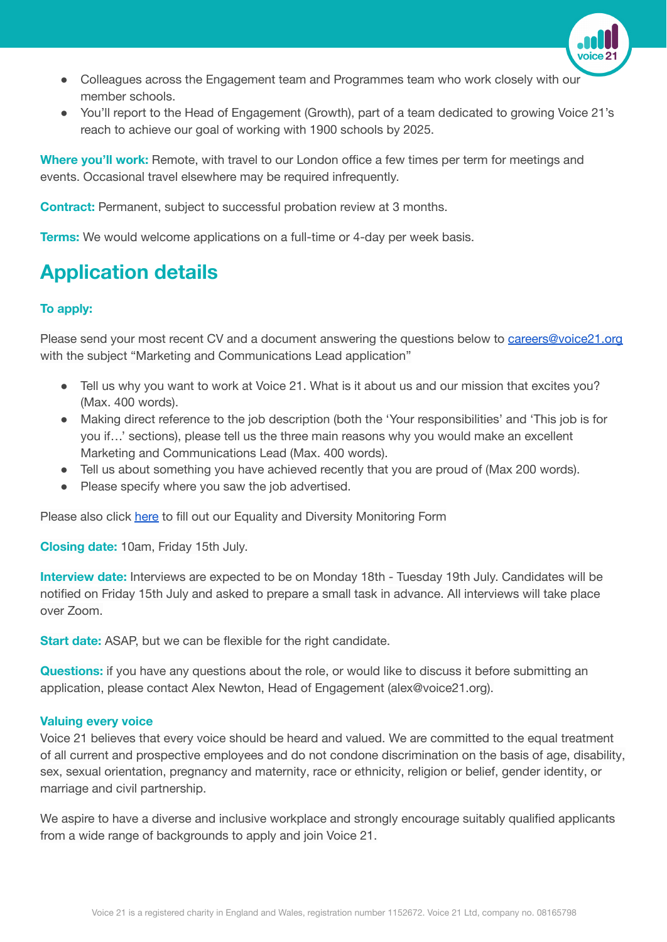

- Colleagues across the Engagement team and Programmes team who work closely with our member schools.
- You'll report to the Head of Engagement (Growth), part of a team dedicated to growing Voice 21's reach to achieve our goal of working with 1900 schools by 2025.

**Where you'll work:** Remote, with travel to our London office a few times per term for meetings and events. Occasional travel elsewhere may be required infrequently.

**Contract:** Permanent, subject to successful probation review at 3 months.

**Terms:** We would welcome applications on a full-time or 4-day per week basis.

## **Application details**

#### **To apply:**

Please send your most recent CV and a document answering the questions below to [careers@voice21.org](mailto:careers@voice21.org) with the subject "Marketing and Communications Lead application"

- Tell us why you want to work at Voice 21. What is it about us and our mission that excites you? (Max. 400 words).
- Making direct reference to the job description (both the 'Your responsibilities' and 'This job is for you if…' sections), please tell us the three main reasons why you would make an excellent Marketing and Communications Lead (Max. 400 words).
- Tell us about something you have achieved recently that you are proud of (Max 200 words).
- Please specify where you saw the job advertised.

Please also click [here](https://www.tfaforms.com/4902216) to fill out our Equality and Diversity Monitoring Form

**Closing date:** 10am, Friday 15th July.

**Interview date:** Interviews are expected to be on Monday 18th - Tuesday 19th July. Candidates will be notified on Friday 15th July and asked to prepare a small task in advance. All interviews will take place over Zoom.

**Start date:** ASAP, but we can be flexible for the right candidate.

**Questions:** if you have any questions about the role, or would like to discuss it before submitting an application, please contact Alex Newton, Head of Engagement (alex@voice21.org).

#### **Valuing every voice**

Voice 21 believes that every voice should be heard and valued. We are committed to the equal treatment of all current and prospective employees and do not condone discrimination on the basis of age, disability, sex, sexual orientation, pregnancy and maternity, race or ethnicity, religion or belief, gender identity, or marriage and civil partnership.

We aspire to have a diverse and inclusive workplace and strongly encourage suitably qualified applicants from a wide range of backgrounds to apply and join Voice 21.